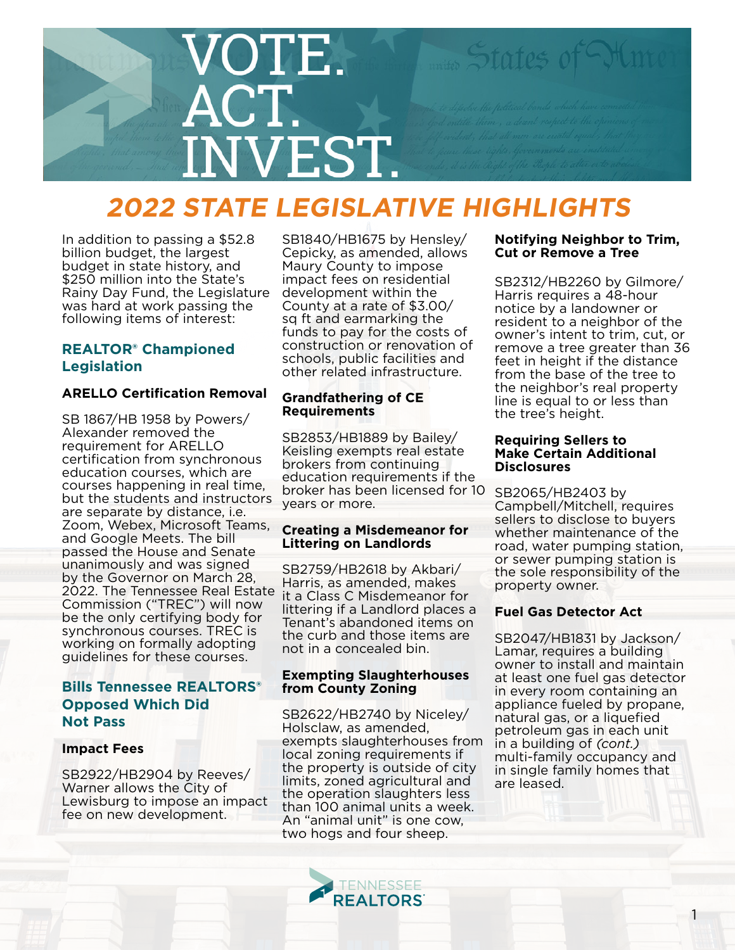

# **2022 STATE LEGISLATIVE HIGHLIGHTS**

In addition to passing a \$52.8 billion budget, the largest budget in state history, and \$250 million into the State's Rainy Day Fund, the Legislature was hard at work passing the following items of interest:

# **REALTOR® Championed Legislation**

# **ARELLO Certification Removal**

SB 1867/HB 1958 by Powers/ Alexander removed the requirement for ARELLO certification from synchronous education courses, which are courses happening in real time, but the students and instructors are separate by distance, i.e. Zoom, Webex, Microsoft Teams, and Google Meets. The bill passed the House and Senate unanimously and was signed by the Governor on March 28, 2022. The Tennessee Real Estate Commission ("TREC") will now be the only certifying body for synchronous courses. TREC is working on formally adopting guidelines for these courses.

# **Bills Tennessee REALTORS® Opposed Which Did Not Pass**

# **Impact Fees**

SB2922/HB2904 by Reeves/ Warner allows the City of Lewisburg to impose an impact fee on new development.

SB1840/HB1675 by Hensley/ Cepicky, as amended, allows Maury County to impose impact fees on residential development within the County at a rate of \$3.00/ sq ft and earmarking the funds to pay for the costs of construction or renovation of schools, public facilities and other related infrastructure.

# **Grandfathering of CE Requirements**

SB2853/HB1889 by Bailey/ Keisling exempts real estate brokers from continuing education requirements if the broker has been licensed for 10 years or more.

# **Creating a Misdemeanor for Littering on Landlords**

SB2759/HB2618 by Akbari/ Harris, as amended, makes it a Class C Misdemeanor for littering if a Landlord places a Tenant's abandoned items on the curb and those items are not in a concealed bin.

# **Exempting Slaughterhouses from County Zoning**

SB2622/HB2740 by Niceley/ Holsclaw, as amended, exempts slaughterhouses from local zoning requirements if the property is outside of city limits, zoned agricultural and the operation slaughters less than 100 animal units a week. An "animal unit" is one cow, two hogs and four sheep.

# **Notifying Neighbor to Trim, Cut or Remove a Tree**

SB2312/HB2260 by Gilmore/ Harris requires a 48-hour notice by a landowner or resident to a neighbor of the owner's intent to trim, cut, or remove a tree greater than 36 feet in height if the distance from the base of the tree to the neighbor's real property line is equal to or less than the tree's height.

### **Requiring Sellers to Make Certain Additional Disclosures**

SB2065/HB2403 by Campbell/Mitchell, requires sellers to disclose to buyers whether maintenance of the road, water pumping station, or sewer pumping station is the sole responsibility of the property owner.

# **Fuel Gas Detector Act**

SB2047/HB1831 by Jackson/ Lamar, requires a building owner to install and maintain at least one fuel gas detector in every room containing an appliance fueled by propane, natural gas, or a liquefied petroleum gas in each unit in a building of *(cont.)* multi-family occupancy and in single family homes that are leased.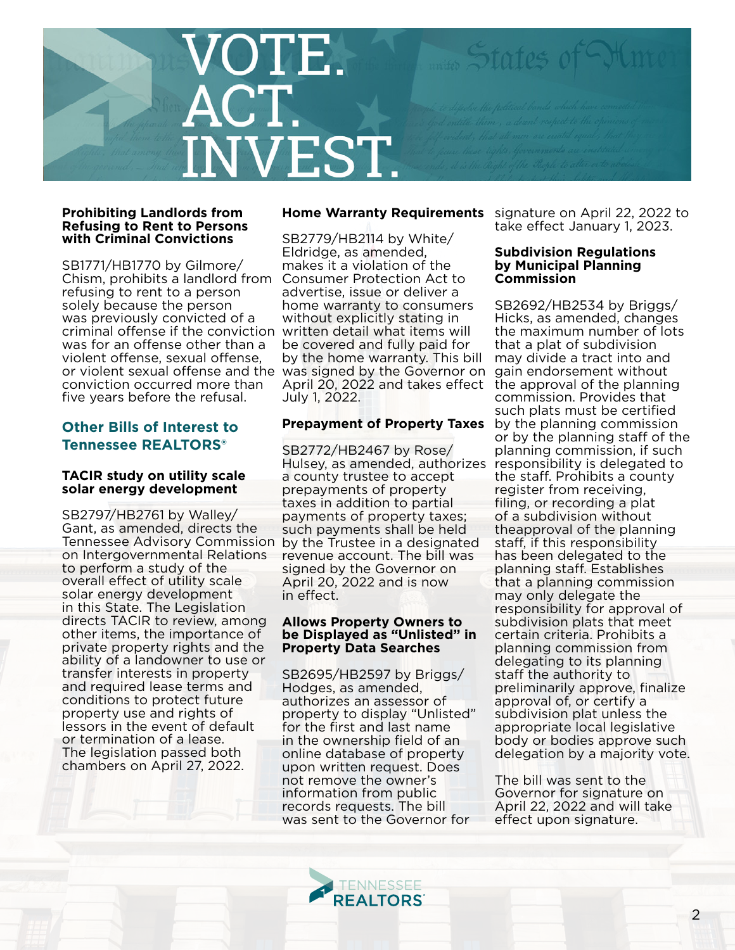

#### **Prohibiting Landlords from Refusing to Rent to Persons with Criminal Convictions**

SB1771/HB1770 by Gilmore/ Chism, prohibits a landlord from refusing to rent to a person solely because the person was previously convicted of a criminal offense if the conviction written detail what items will was for an offense other than a violent offense, sexual offense, or violent sexual offense and the was signed by the Governor on gain endorsement without conviction occurred more than five years before the refusal.

# **Other Bills of Interest to Tennessee REALTORS®**

#### **TACIR study on utility scale solar energy development**

SB2797/HB2761 by Walley/ Gant, as amended, directs the Tennessee Advisory Commission on Intergovernmental Relations to perform a study of the overall effect of utility scale solar energy development in this State. The Legislation directs TACIR to review, among other items, the importance of private property rights and the ability of a landowner to use or transfer interests in property and required lease terms and conditions to protect future property use and rights of lessors in the event of default or termination of a lease. The legislation passed both chambers on April 27, 2022.

SB2779/HB2114 by White/ Eldridge, as amended, makes it a violation of the Consumer Protection Act to advertise, issue or deliver a home warranty to consumers without explicitly stating in be covered and fully paid for by the home warranty. This bill April 20, 2022 and takes effect the approval of the planning July 1, 2022.

# **Prepayment of Property Taxes** by the planning commission

SB2772/HB2467 by Rose/ Hulsey, as amended, authorizes responsibility is delegated to a county trustee to accept prepayments of property taxes in addition to partial payments of property taxes; such payments shall be held by the Trustee in a designated revenue account. The bill was signed by the Governor on April 20, 2022 and is now in effect.

### **Allows Property Owners to be Displayed as "Unlisted" in Property Data Searches**

SB2695/HB2597 by Briggs/ Hodges, as amended, authorizes an assessor of property to display "Unlisted" for the first and last name in the ownership field of an online database of property upon written request. Does not remove the owner's information from public records requests. The bill was sent to the Governor for

> TENNESSEE **REALTORS**

**Home Warranty Requirements** signature on April 22, 2022 to take effect January 1, 2023.

#### **Subdivision Regulations by Municipal Planning Commission**

SB2692/HB2534 by Briggs/ Hicks, as amended, changes the maximum number of lots that a plat of subdivision may divide a tract into and commission. Provides that such plats must be certified or by the planning staff of the planning commission, if such the staff. Prohibits a county register from receiving, filing, or recording a plat of a subdivision without theapproval of the planning staff, if this responsibility has been delegated to the planning staff. Establishes that a planning commission may only delegate the responsibility for approval of subdivision plats that meet certain criteria. Prohibits a planning commission from delegating to its planning staff the authority to preliminarily approve, finalize approval of, or certify a subdivision plat unless the appropriate local legislative body or bodies approve such delegation by a majority vote.

The bill was sent to the Governor for signature on April 22, 2022 and will take effect upon signature.